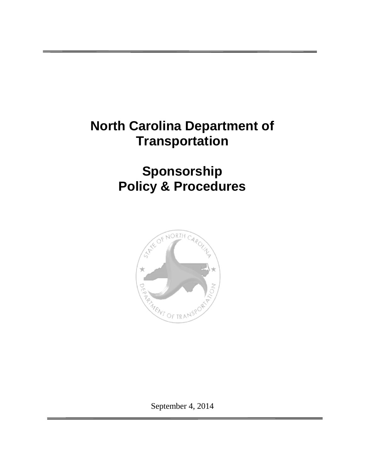# **North Carolina Department of Transportation**

# **Sponsorship Policy & Procedures**



September 4, 2014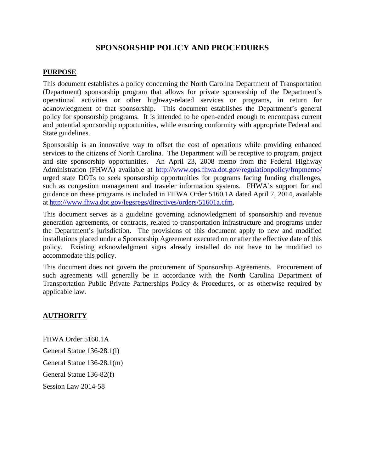## **SPONSORSHIP POLICY AND PROCEDURES**

#### **PURPOSE**

This document establishes a policy concerning the North Carolina Department of Transportation (Department) sponsorship program that allows for private sponsorship of the Department's operational activities or other highway-related services or programs, in return for acknowledgment of that sponsorship. This document establishes the Department's general policy for sponsorship programs. It is intended to be open-ended enough to encompass current and potential sponsorship opportunities, while ensuring conformity with appropriate Federal and State guidelines.

Sponsorship is an innovative way to offset the cost of operations while providing enhanced services to the citizens of North Carolina. The Department will be receptive to program, project and site sponsorship opportunities. An April 23, 2008 memo from the Federal Highway Administration (FHWA) available at http://www.ops.fhwa.dot.gov/regulationpolicy/fmpmemo/ urged state DOTs to seek sponsorship opportunities for programs facing funding challenges, such as congestion management and traveler information systems. FHWA's support for and guidance on these programs is included in FHWA Order 5160.1A dated April 7, 2014, available at http://www.fhwa.dot.gov/legsregs/directives/orders/51601a.cfm.

This document serves as a guideline governing acknowledgment of sponsorship and revenue generation agreements, or contracts, related to transportation infrastructure and programs under the Department's jurisdiction. The provisions of this document apply to new and modified installations placed under a Sponsorship Agreement executed on or after the effective date of this policy. Existing acknowledgment signs already installed do not have to be modified to accommodate this policy.

This document does not govern the procurement of Sponsorship Agreements. Procurement of such agreements will generally be in accordance with the North Carolina Department of Transportation Public Private Partnerships Policy & Procedures, or as otherwise required by applicable law.

#### **AUTHORITY**

FHWA Order 5160.1A General Statue 136-28.1(l) General Statue 136-28.1(m) General Statue 136-82(f) Session Law 2014-58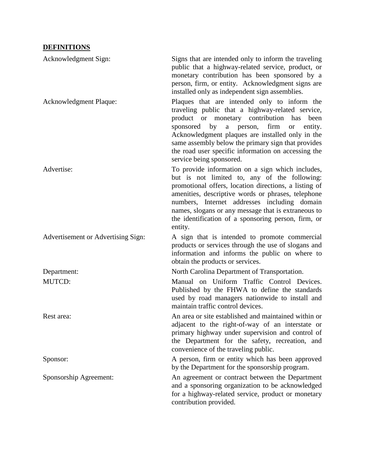## **DEFINITIONS**

| Acknowledgment Sign:               | Signs that are intended only to inform the traveling<br>public that a highway-related service, product, or<br>monetary contribution has been sponsored by a<br>person, firm, or entity. Acknowledgment signs are<br>installed only as independent sign assemblies.                                                                                                                                                             |
|------------------------------------|--------------------------------------------------------------------------------------------------------------------------------------------------------------------------------------------------------------------------------------------------------------------------------------------------------------------------------------------------------------------------------------------------------------------------------|
| Acknowledgment Plaque:             | Plaques that are intended only to inform the<br>traveling public that a highway-related service,<br>product or monetary contribution<br>has<br>been<br>firm<br>sponsored<br>by<br>person,<br>$\mathbf{a}$<br>entity.<br><b>or</b><br>Acknowledgment plaques are installed only in the<br>same assembly below the primary sign that provides<br>the road user specific information on accessing the<br>service being sponsored. |
| Advertise:                         | To provide information on a sign which includes,<br>but is not limited to, any of the following:<br>promotional offers, location directions, a listing of<br>amenities, descriptive words or phrases, telephone<br>numbers, Internet addresses including domain<br>names, slogans or any message that is extraneous to<br>the identification of a sponsoring person, firm, or<br>entity.                                       |
| Advertisement or Advertising Sign: | A sign that is intended to promote commercial<br>products or services through the use of slogans and<br>information and informs the public on where to<br>obtain the products or services.                                                                                                                                                                                                                                     |
| Department:                        | North Carolina Department of Transportation.                                                                                                                                                                                                                                                                                                                                                                                   |
| <b>MUTCD:</b>                      | Manual on Uniform Traffic Control Devices.<br>Published by the FHWA to define the standards<br>used by road managers nationwide to install and<br>maintain traffic control devices.                                                                                                                                                                                                                                            |
| Rest area:                         | An area or site established and maintained within or<br>adjacent to the right-of-way of an interstate or<br>primary highway under supervision and control of<br>the Department for the safety, recreation, and<br>convenience of the traveling public.                                                                                                                                                                         |
| Sponsor:                           | A person, firm or entity which has been approved<br>by the Department for the sponsorship program.                                                                                                                                                                                                                                                                                                                             |
| Sponsorship Agreement:             | An agreement or contract between the Department<br>and a sponsoring organization to be acknowledged<br>for a highway-related service, product or monetary<br>contribution provided.                                                                                                                                                                                                                                            |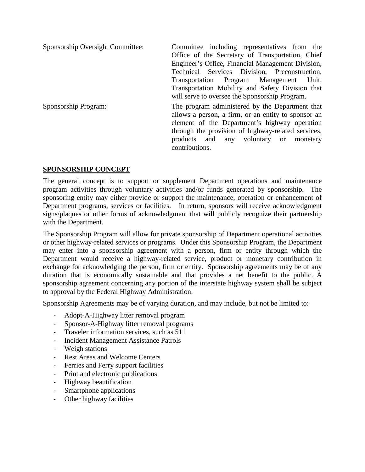| Sponsorship Oversight Committee: | Committee including representatives from the<br>Office of the Secretary of Transportation, Chief<br>Engineer's Office, Financial Management Division,<br>Technical Services Division, Preconstruction,<br>Transportation Program Management<br>Unit.<br>Transportation Mobility and Safety Division that<br>will serve to oversee the Sponsorship Program. |
|----------------------------------|------------------------------------------------------------------------------------------------------------------------------------------------------------------------------------------------------------------------------------------------------------------------------------------------------------------------------------------------------------|
| Sponsorship Program:             | The program administered by the Department that<br>allows a person, a firm, or an entity to sponsor an<br>element of the Department's highway operation<br>through the provision of highway-related services,<br>products and any voluntary or<br>monetary<br>contributions.                                                                               |

### **SPONSORSHIP CONCEPT**

The general concept is to support or supplement Department operations and maintenance program activities through voluntary activities and/or funds generated by sponsorship. The sponsoring entity may either provide or support the maintenance, operation or enhancement of Department programs, services or facilities. In return, sponsors will receive acknowledgment signs/plaques or other forms of acknowledgment that will publicly recognize their partnership with the Department.

The Sponsorship Program will allow for private sponsorship of Department operational activities or other highway-related services or programs. Under this Sponsorship Program, the Department may enter into a sponsorship agreement with a person, firm or entity through which the Department would receive a highway-related service, product or monetary contribution in exchange for acknowledging the person, firm or entity. Sponsorship agreements may be of any duration that is economically sustainable and that provides a net benefit to the public. A sponsorship agreement concerning any portion of the interstate highway system shall be subject to approval by the Federal Highway Administration.

Sponsorship Agreements may be of varying duration, and may include, but not be limited to:

- Adopt-A-Highway litter removal program
- Sponsor-A-Highway litter removal programs
- Traveler information services, such as 511
- Incident Management Assistance Patrols
- Weigh stations
- Rest Areas and Welcome Centers
- Ferries and Ferry support facilities
- Print and electronic publications
- Highway beautification
- Smartphone applications
- Other highway facilities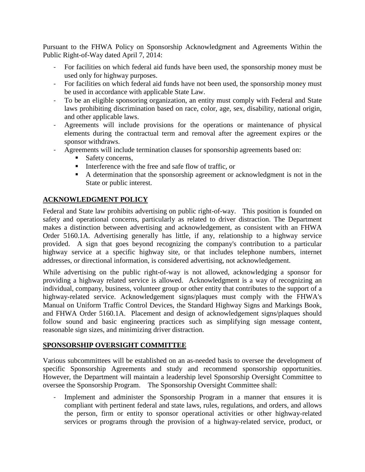Pursuant to the FHWA Policy on Sponsorship Acknowledgment and Agreements Within the Public Right-of-Way dated April 7, 2014:

- For facilities on which federal aid funds have been used, the sponsorship money must be used only for highway purposes.
- For facilities on which federal aid funds have not been used, the sponsorship money must be used in accordance with applicable State Law.
- To be an eligible sponsoring organization, an entity must comply with Federal and State laws prohibiting discrimination based on race, color, age, sex, disability, national origin, and other applicable laws.
- Agreements will include provisions for the operations or maintenance of physical elements during the contractual term and removal after the agreement expires or the sponsor withdraws.
- Agreements will include termination clauses for sponsorship agreements based on:
	- Safety concerns.
	- Interference with the free and safe flow of traffic, or
	- A determination that the sponsorship agreement or acknowledgment is not in the State or public interest.

### **ACKNOWLEDGMENT POLICY**

Federal and State law prohibits advertising on public right-of-way. This position is founded on safety and operational concerns, particularly as related to driver distraction. The Department makes a distinction between advertising and acknowledgement, as consistent with an FHWA Order 5160.1A. Advertising generally has little, if any, relationship to a highway service provided. A sign that goes beyond recognizing the company's contribution to a particular highway service at a specific highway site, or that includes telephone numbers, internet addresses, or directional information, is considered advertising, not acknowledgement.

While advertising on the public right-of-way is not allowed, acknowledging a sponsor for providing a highway related service is allowed. Acknowledgment is a way of recognizing an individual, company, business, volunteer group or other entity that contributes to the support of a highway-related service. Acknowledgement signs/plaques must comply with the FHWA's Manual on Uniform Traffic Control Devices, the Standard Highway Signs and Markings Book, and FHWA Order 5160.1A. Placement and design of acknowledgement signs/plaques should follow sound and basic engineering practices such as simplifying sign message content, reasonable sign sizes, and minimizing driver distraction.

#### **SPONSORSHIP OVERSIGHT COMMITTEE**

Various subcommittees will be established on an as-needed basis to oversee the development of specific Sponsorship Agreements and study and recommend sponsorship opportunities. However, the Department will maintain a leadership level Sponsorship Oversight Committee to oversee the Sponsorship Program. The Sponsorship Oversight Committee shall:

- Implement and administer the Sponsorship Program in a manner that ensures it is compliant with pertinent federal and state laws, rules, regulations, and orders, and allows the person, firm or entity to sponsor operational activities or other highway-related services or programs through the provision of a highway-related service, product, or